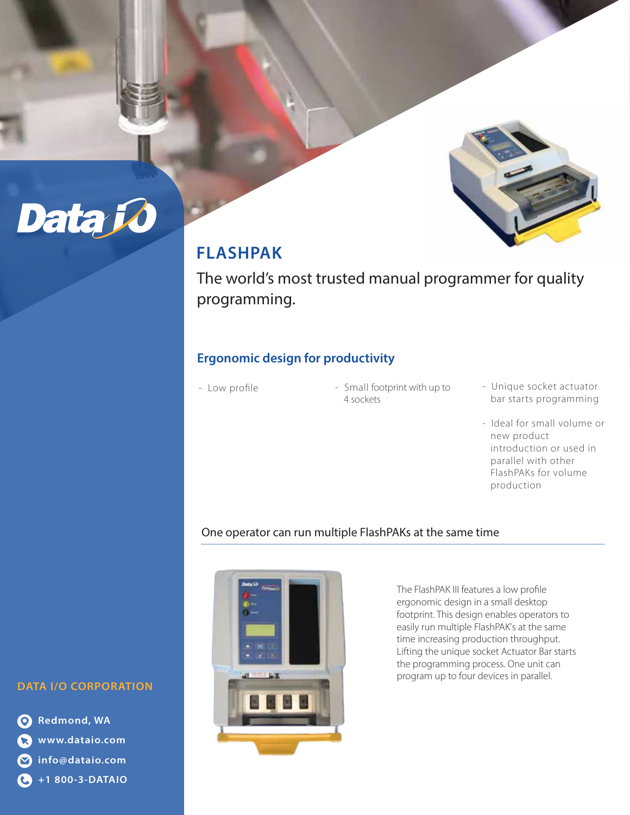

## **FLASHPAK**

The world's most trusted manual programmer for quality programming.

## **Ergonomic design for productivity**

- Low profile
- Small footprint with up to 4 sockets
- Unique socket actuator bar starts programming
- Ideal for small volume or new product introduction or used in parallel with other FlashPAKs for volume production

## One operator can run multiple FlashPAKs at the same time



The FlashPAK III features a low profile ergonomic design in a small desktop footprint. This design enables operators to easily run multiple FlashPAK's at the same time increasing production throughput. Lifting the unique socket Actuator Bar starts the programming process. One unit can program up to four devices in parallel.

### **DATA I/O CORPORATION**

Data Jo

**Redmond, WA www.dataio.com info@dataio.com +1 800-3-DATAIO**